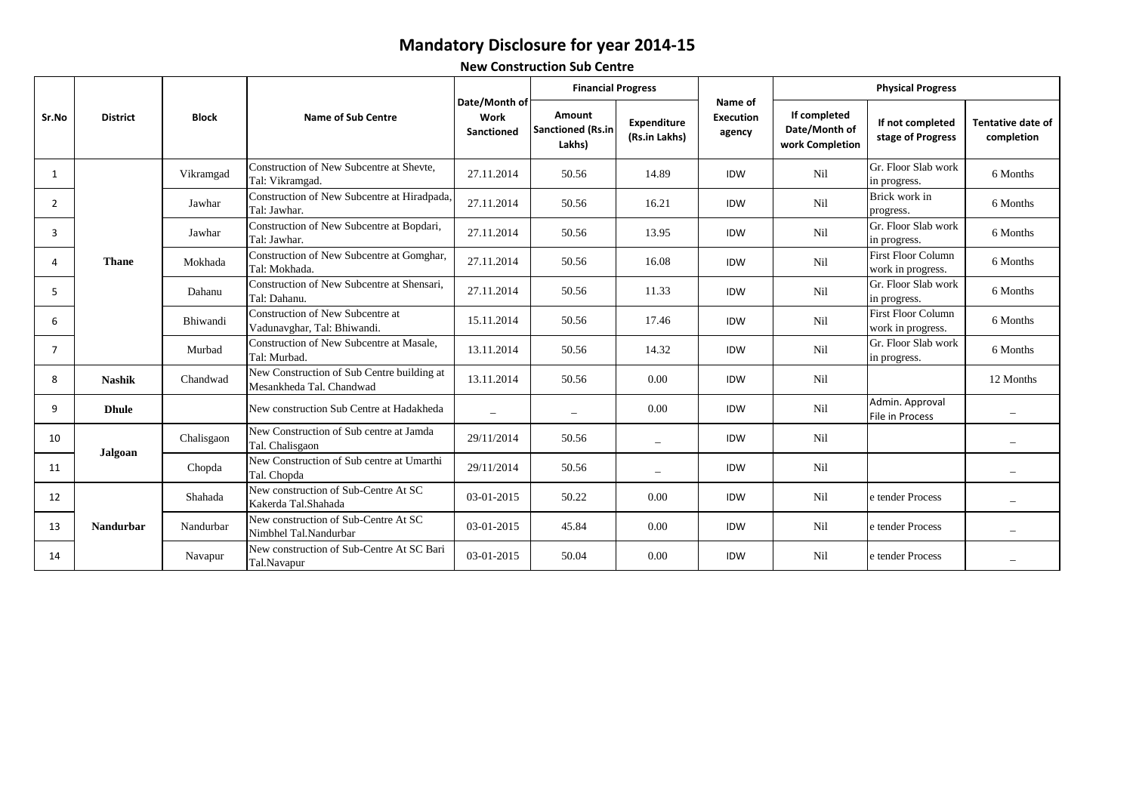## **Mandatory Disclosure for year 2014-15**

**New Construction Sub Centre**

| Sr.No |                  |              |                                                                        |                                     | <b>Financial Progress</b>             |                              |                                       |                                                  | <b>Physical Progress</b>                       |                                        |  |
|-------|------------------|--------------|------------------------------------------------------------------------|-------------------------------------|---------------------------------------|------------------------------|---------------------------------------|--------------------------------------------------|------------------------------------------------|----------------------------------------|--|
|       | <b>District</b>  | <b>Block</b> | Name of Sub Centre                                                     | Date/Month of<br>Work<br>Sanctioned | Amount<br>Sanctioned (Rs.in<br>Lakhs) | Expenditure<br>(Rs.in Lakhs) | Name of<br><b>Execution</b><br>agency | If completed<br>Date/Month of<br>work Completion | If not completed<br>stage of Progress          | <b>Tentative date of</b><br>completion |  |
| 1     |                  | Vikramgad    | Construction of New Subcentre at Shevte,<br>Tal: Vikramgad.            | 27.11.2014                          | 50.56                                 | 14.89                        | <b>IDW</b>                            | Nil                                              | Gr. Floor Slab work<br>in progress.            | 6 Months                               |  |
| 2     |                  | Jawhar       | Construction of New Subcentre at Hiradpada,<br>Tal: Jawhar.            | 27.11.2014                          | 50.56                                 | 16.21                        | IDW                                   | Nil                                              | Brick work in<br>progress.                     | 6 Months                               |  |
| 3     |                  | Jawhar       | Construction of New Subcentre at Bopdari,<br>Tal: Jawhar.              | 27.11.2014                          | 50.56                                 | 13.95                        | <b>IDW</b>                            | Nil                                              | Gr. Floor Slab work<br>in progress.            | 6 Months                               |  |
| 4     | <b>Thane</b>     | Mokhada      | Construction of New Subcentre at Gomghar,<br>Tal: Mokhada.             | 27.11.2014                          | 50.56                                 | 16.08                        | <b>IDW</b>                            | Nil                                              | <b>First Floor Column</b><br>work in progress. | 6 Months                               |  |
| 5     |                  | Dahanu       | Construction of New Subcentre at Shensari.<br>Tal: Dahanu.             | 27.11.2014                          | 50.56                                 | 11.33                        | <b>IDW</b>                            | Nil                                              | Gr. Floor Slab work<br>in progress.            | 6 Months                               |  |
| 6     |                  | Bhiwandi     | Construction of New Subcentre at<br>Vadunavghar, Tal: Bhiwandi.        | 15.11.2014                          | 50.56                                 | 17.46                        | <b>IDW</b>                            | Nil                                              | <b>First Floor Column</b><br>work in progress. | 6 Months                               |  |
| 7     |                  | Murbad       | Construction of New Subcentre at Masale.<br>Tal: Murbad.               | 13.11.2014                          | 50.56                                 | 14.32                        | <b>IDW</b>                            | Nil                                              | Gr. Floor Slab work<br>in progress.            | 6 Months                               |  |
| 8     | <b>Nashik</b>    | Chandwad     | New Construction of Sub Centre building at<br>Mesankheda Tal. Chandwad | 13.11.2014                          | 50.56                                 | 0.00                         | <b>IDW</b>                            | Nil                                              |                                                | 12 Months                              |  |
| 9     | <b>Dhule</b>     |              | New construction Sub Centre at Hadakheda                               | $\overline{\phantom{0}}$            | $\overline{\phantom{0}}$              | 0.00                         | <b>IDW</b>                            | Nil                                              | Admin. Approval<br>File in Process             |                                        |  |
| 10    | Jalgoan          | Chalisgaon   | New Construction of Sub centre at Jamda<br>Tal. Chalisgaon             | 29/11/2014                          | 50.56                                 | $\overline{\phantom{0}}$     | <b>IDW</b>                            | Nil                                              |                                                |                                        |  |
| 11    |                  | Chopda       | New Construction of Sub centre at Umarthi<br>Tal. Chopda               | 29/11/2014                          | 50.56                                 | $\overline{\phantom{0}}$     | <b>IDW</b>                            | Nil                                              |                                                |                                        |  |
| 12    |                  | Shahada      | New construction of Sub-Centre At SC<br>Kakerda Tal.Shahada            | 03-01-2015                          | 50.22                                 | 0.00                         | IDW                                   | Nil                                              | e tender Process                               |                                        |  |
| 13    | <b>Nandurbar</b> | Nandurbar    | New construction of Sub-Centre At SC<br>Nimbhel Tal.Nandurbar          | 03-01-2015                          | 45.84                                 | 0.00                         | IDW                                   | Nil                                              | e tender Process                               |                                        |  |
| 14    |                  | Navapur      | New construction of Sub-Centre At SC Bari<br>Tal.Navapur               | 03-01-2015                          | 50.04                                 | 0.00                         | IDW                                   | Nil                                              | e tender Process                               |                                        |  |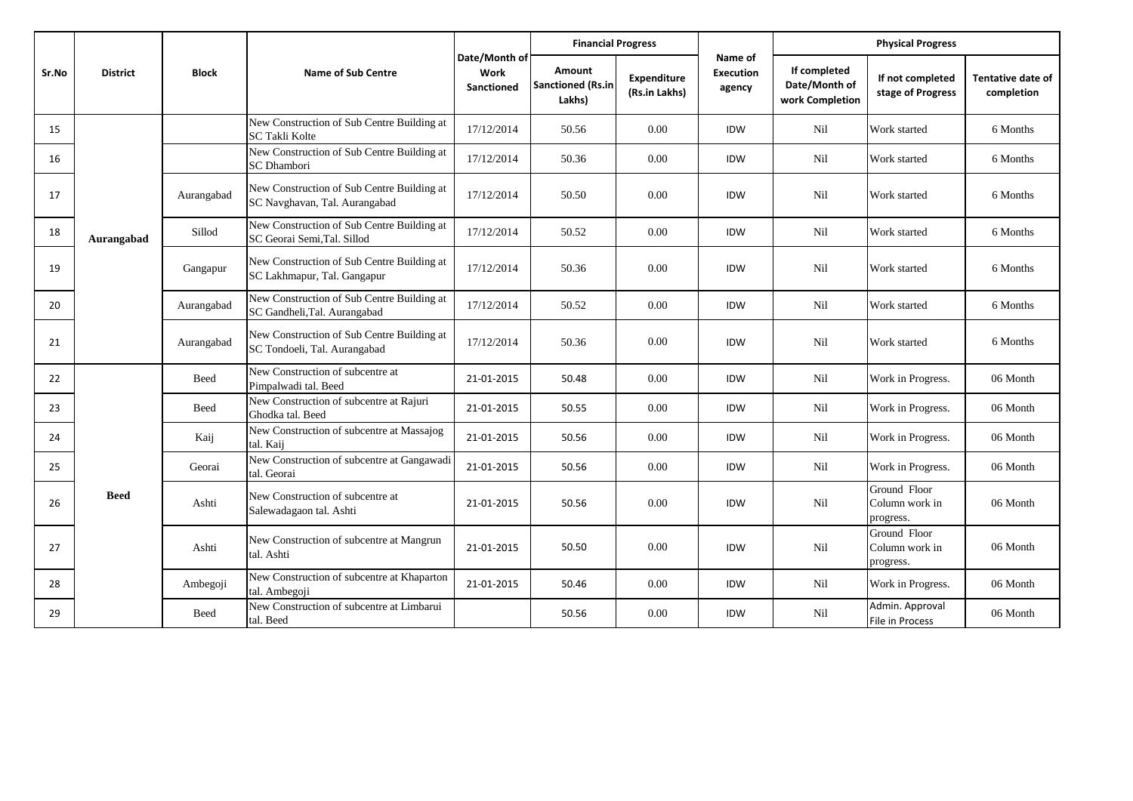|       |                 |              | <b>Name of Sub Centre</b>                                                   |                                     | <b>Financial Progress</b>                    |                                     |                                | <b>Physical Progress</b>                         |                                             |                                 |
|-------|-----------------|--------------|-----------------------------------------------------------------------------|-------------------------------------|----------------------------------------------|-------------------------------------|--------------------------------|--------------------------------------------------|---------------------------------------------|---------------------------------|
| Sr.No | <b>District</b> | <b>Block</b> |                                                                             | Date/Month of<br>Work<br>Sanctioned | Amount<br><b>Sanctioned (Rs.in</b><br>Lakhs) | <b>Expenditure</b><br>(Rs.in Lakhs) | Name of<br>Execution<br>agency | If completed<br>Date/Month of<br>work Completion | If not completed<br>stage of Progress       | Tentative date of<br>completion |
| 15    |                 |              | New Construction of Sub Centre Building at<br>SC Takli Kolte                | 17/12/2014                          | 50.56                                        | 0.00                                | IDW                            | Nil                                              | Work started                                | 6 Months                        |
| 16    |                 |              | New Construction of Sub Centre Building at<br><b>SC</b> Dhambori            | 17/12/2014                          | 50.36                                        | 0.00                                | <b>IDW</b>                     | Nil                                              | Work started                                | 6 Months                        |
| 17    |                 | Aurangabad   | New Construction of Sub Centre Building at<br>SC Navghavan, Tal. Aurangabad | 17/12/2014                          | 50.50                                        | 0.00                                | IDW                            | Nil                                              | Work started                                | 6 Months                        |
| 18    | Aurangabad      | Sillod       | New Construction of Sub Centre Building at<br>SC Georai Semi, Tal. Sillod   | 17/12/2014                          | 50.52                                        | 0.00                                | IDW                            | Nil                                              | Work started                                | 6 Months                        |
| 19    |                 | Gangapur     | New Construction of Sub Centre Building at<br>SC Lakhmapur, Tal. Gangapur   | 17/12/2014                          | 50.36                                        | 0.00                                | IDW                            | Nil                                              | Work started                                | 6 Months                        |
| 20    |                 | Aurangabad   | New Construction of Sub Centre Building at<br>SC Gandheli, Tal. Aurangabad  | 17/12/2014                          | 50.52                                        | 0.00                                | IDW                            | Nil                                              | Work started                                | 6 Months                        |
| 21    |                 | Aurangabad   | New Construction of Sub Centre Building at<br>SC Tondoeli, Tal. Aurangabad  | 17/12/2014                          | 50.36                                        | 0.00                                | IDW                            | Nil                                              | Work started                                | 6 Months                        |
| 22    |                 | Beed         | New Construction of subcentre at<br>Pimpalwadi tal. Beed                    | 21-01-2015                          | 50.48                                        | 0.00                                | IDW                            | Nil                                              | Work in Progress.                           | 06 Month                        |
| 23    |                 | <b>Beed</b>  | New Construction of subcentre at Rajuri<br>Ghodka tal. Beed                 | 21-01-2015                          | 50.55                                        | 0.00                                | IDW                            | Nil                                              | Work in Progress.                           | 06 Month                        |
| 24    |                 | Kaij         | New Construction of subcentre at Massajog<br>tal. Kaij                      | 21-01-2015                          | 50.56                                        | 0.00                                | IDW                            | Nil                                              | Work in Progress.                           | 06 Month                        |
| 25    |                 | Georai       | New Construction of subcentre at Gangawadi<br>tal. Georai                   | 21-01-2015                          | 50.56                                        | 0.00                                | IDW                            | Nil                                              | Work in Progress.                           | 06 Month                        |
| 26    | <b>Beed</b>     | Ashti        | New Construction of subcentre at<br>Salewadagaon tal. Ashti                 | 21-01-2015                          | 50.56                                        | 0.00                                | IDW                            | Nil                                              | Ground Floor<br>Column work in<br>progress. | 06 Month                        |
| 27    |                 | Ashti        | New Construction of subcentre at Mangrun<br>tal. Ashti                      | 21-01-2015                          | 50.50                                        | 0.00                                | IDW                            | Nil                                              | Ground Floor<br>Column work in<br>progress. | 06 Month                        |
| 28    |                 | Ambegoji     | New Construction of subcentre at Khaparton<br>tal. Ambegoji                 | 21-01-2015                          | 50.46                                        | 0.00                                | <b>IDW</b>                     | Nil                                              | Work in Progress.                           | 06 Month                        |
| 29    |                 | Beed         | New Construction of subcentre at Limbarui<br>tal. Beed                      |                                     | 50.56                                        | 0.00                                | IDW                            | Nil                                              | Admin. Approval<br>File in Process          | 06 Month                        |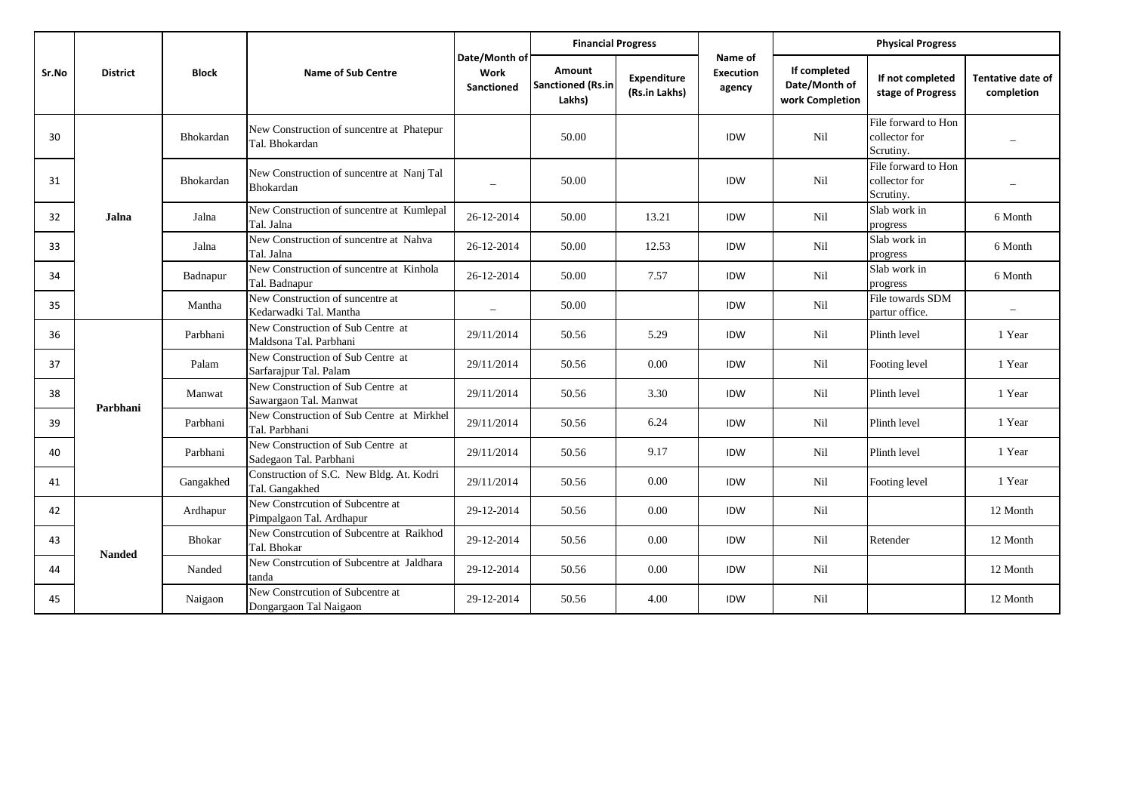|       |                 |               |                                                              |                                     | <b>Financial Progress</b>                    |                              |                                       |                                                  | <b>Physical Progress</b>                          |                                        |  |
|-------|-----------------|---------------|--------------------------------------------------------------|-------------------------------------|----------------------------------------------|------------------------------|---------------------------------------|--------------------------------------------------|---------------------------------------------------|----------------------------------------|--|
| Sr.No | <b>District</b> | <b>Block</b>  | <b>Name of Sub Centre</b>                                    | Date/Month of<br>Work<br>Sanctioned | Amount<br><b>Sanctioned (Rs.in</b><br>Lakhs) | Expenditure<br>(Rs.in Lakhs) | Name of<br><b>Execution</b><br>agency | If completed<br>Date/Month of<br>work Completion | If not completed<br>stage of Progress             | <b>Tentative date of</b><br>completion |  |
| 30    |                 | Bhokardan     | New Construction of suncentre at Phatepur<br>Tal. Bhokardan  |                                     | 50.00                                        |                              | <b>IDW</b>                            | Nil                                              | File forward to Hon<br>collector for<br>Scrutiny. |                                        |  |
| 31    |                 | Bhokardan     | New Construction of suncentre at Nanj Tal<br>Bhokardan       | $\overbrace{\phantom{1232211}}$     | 50.00                                        |                              | IDW                                   | Nil                                              | File forward to Hon<br>collector for<br>Scrutiny. |                                        |  |
| 32    | Jalna           | Jalna         | New Construction of suncentre at Kumlepal<br>Tal. Jalna      | 26-12-2014                          | 50.00                                        | 13.21                        | IDW                                   | Nil                                              | Slab work in<br>progress                          | 6 Month                                |  |
| 33    |                 | Jalna         | New Construction of suncentre at Nahva<br>Tal. Jalna         | 26-12-2014                          | 50.00                                        | 12.53                        | <b>IDW</b>                            | Nil                                              | Slab work in<br>progress                          | 6 Month                                |  |
| 34    |                 | Badnapur      | New Construction of suncentre at Kinhola<br>Tal. Badnapur    | 26-12-2014                          | 50.00                                        | 7.57                         | IDW                                   | Nil                                              | Slab work in<br>progress                          | 6 Month                                |  |
| 35    |                 | Mantha        | New Construction of suncentre at<br>Kedarwadki Tal. Mantha   |                                     | 50.00                                        |                              | IDW                                   | Nil                                              | File towards SDM<br>partur office.                |                                        |  |
| 36    |                 | Parbhani      | New Construction of Sub Centre at<br>Maldsona Tal. Parbhani  | 29/11/2014                          | 50.56                                        | 5.29                         | IDW                                   | Nil                                              | Plinth level                                      | 1 Year                                 |  |
| 37    |                 | Palam         | New Construction of Sub Centre at<br>Sarfarajpur Tal. Palam  | 29/11/2014                          | 50.56                                        | 0.00                         | IDW                                   | Nil                                              | Footing level                                     | 1 Year                                 |  |
| 38    | Parbhani        | Manwat        | New Construction of Sub Centre at<br>Sawargaon Tal. Manwat   | 29/11/2014                          | 50.56                                        | 3.30                         | IDW                                   | Nil                                              | Plinth level                                      | 1 Year                                 |  |
| 39    |                 | Parbhani      | New Construction of Sub Centre at Mirkhel<br>Tal. Parbhani   | 29/11/2014                          | 50.56                                        | 6.24                         | IDW                                   | Nil                                              | Plinth level                                      | 1 Year                                 |  |
| 40    |                 | Parbhani      | New Construction of Sub Centre at<br>Sadegaon Tal. Parbhani  | 29/11/2014                          | 50.56                                        | 9.17                         | <b>IDW</b>                            | Nil                                              | Plinth level                                      | 1 Year                                 |  |
| 41    |                 | Gangakhed     | Construction of S.C. New Bldg. At. Kodri<br>Tal. Gangakhed   | 29/11/2014                          | 50.56                                        | 0.00                         | <b>IDW</b>                            | Nil                                              | Footing level                                     | 1 Year                                 |  |
| 42    |                 | Ardhapur      | New Constrcution of Subcentre at<br>Pimpalgaon Tal. Ardhapur | 29-12-2014                          | 50.56                                        | 0.00                         | IDW                                   | Nil                                              |                                                   | 12 Month                               |  |
| 43    | <b>Nanded</b>   | <b>Bhokar</b> | New Constrcution of Subcentre at Raikhod<br>Tal. Bhokar      | 29-12-2014                          | 50.56                                        | 0.00                         | IDW                                   | Nil                                              | Retender                                          | 12 Month                               |  |
| 44    |                 | Nanded        | New Constrcution of Subcentre at Jaldhara<br>tanda           | 29-12-2014                          | 50.56                                        | 0.00                         | <b>IDW</b>                            | Nil                                              |                                                   | 12 Month                               |  |
| 45    |                 | Naigaon       | New Constrcution of Subcentre at<br>Dongargaon Tal Naigaon   | 29-12-2014                          | 50.56                                        | 4.00                         | <b>IDW</b>                            | Nil                                              |                                                   | 12 Month                               |  |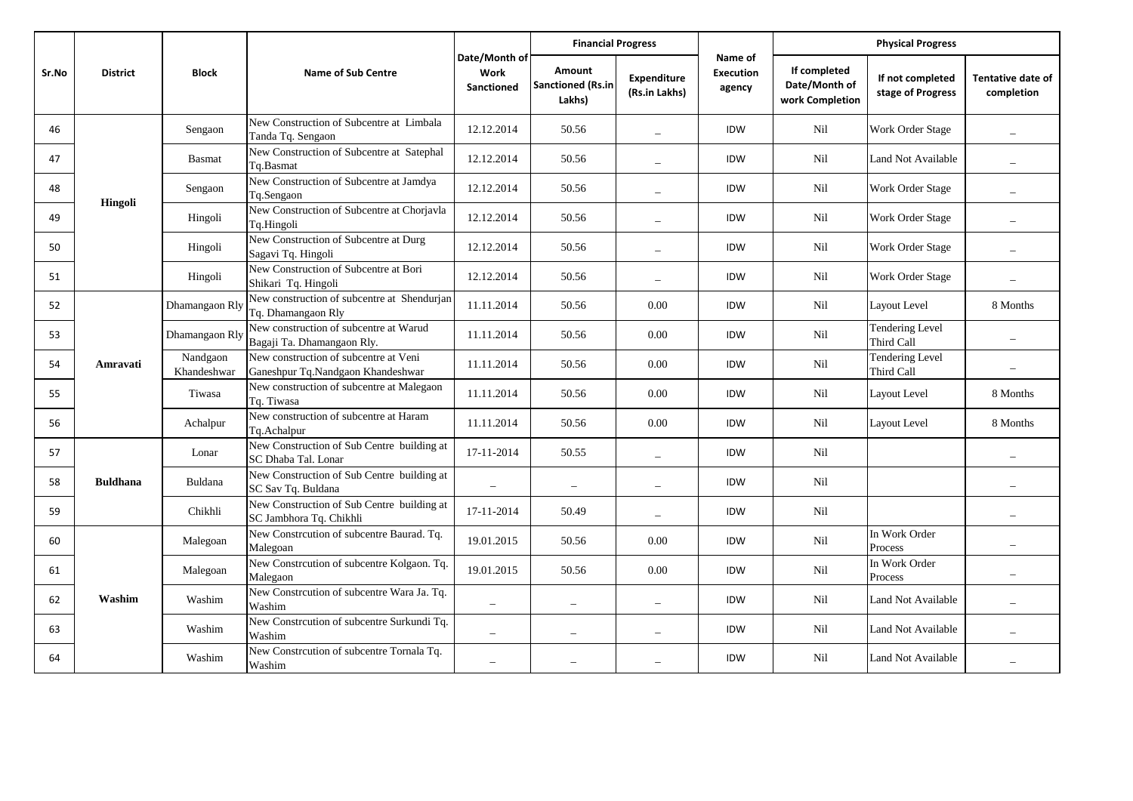|       |                 |                         |                                                                            |                                                                                                                                                                                                                  | <b>Financial Progress</b>             |                                        |            | <b>Physical Progress</b> |                                      |                          |
|-------|-----------------|-------------------------|----------------------------------------------------------------------------|------------------------------------------------------------------------------------------------------------------------------------------------------------------------------------------------------------------|---------------------------------------|----------------------------------------|------------|--------------------------|--------------------------------------|--------------------------|
| Sr.No | <b>District</b> | <b>Block</b>            | <b>Name of Sub Centre</b>                                                  | Date/Month of<br>Name of<br>If completed<br>Amount<br>Work<br><b>Execution</b><br>Expenditure<br><b>Sanctioned (Rs.in</b><br>Date/Month of<br>Sanctioned<br>agency<br>(Rs.in Lakhs)<br>Lakhs)<br>work Completion | If not completed<br>stage of Progress | <b>Tentative date of</b><br>completion |            |                          |                                      |                          |
| 46    | Hingoli         | Sengaon                 | New Construction of Subcentre at Limbala<br>Tanda Tq. Sengaon              | 12.12.2014                                                                                                                                                                                                       | 50.56                                 | $\overline{a}$                         | IDW        | Nil                      | Work Order Stage                     |                          |
| 47    |                 | <b>Basmat</b>           | New Construction of Subcentre at Satephal<br>Tq.Basmat                     | 12.12.2014                                                                                                                                                                                                       | 50.56                                 |                                        | IDW        | Nil                      | Land Not Available                   |                          |
| 48    |                 | Sengaon                 | New Construction of Subcentre at Jamdya<br>Tq.Sengaon                      | 12.12.2014                                                                                                                                                                                                       | 50.56                                 |                                        | IDW        | Nil                      | Work Order Stage                     |                          |
| 49    |                 | Hingoli                 | New Construction of Subcentre at Chorjavla<br>Tq.Hingoli                   | 12.12.2014                                                                                                                                                                                                       | 50.56                                 |                                        | IDW        | Nil                      | Work Order Stage                     |                          |
| 50    |                 | Hingoli                 | New Construction of Subcentre at Durg<br>Sagavi Tq. Hingoli                | 12.12.2014                                                                                                                                                                                                       | 50.56                                 |                                        | IDW        | <b>Nil</b>               | Work Order Stage                     |                          |
| 51    |                 | Hingoli                 | New Construction of Subcentre at Bori<br>Shikari Tq. Hingoli               | 12.12.2014                                                                                                                                                                                                       | 50.56                                 |                                        | IDW        | Nil                      | Work Order Stage                     |                          |
| 52    |                 | Dhamangaon Rly          | New construction of subcentre at Shendurjan<br>Tq. Dhamangaon Rly          | 11.11.2014                                                                                                                                                                                                       | 50.56                                 | 0.00                                   | IDW        | Nil                      | Layout Level                         | 8 Months                 |
| 53    |                 | Dhamangaon Rly          | New construction of subcentre at Warud<br>Bagaji Ta. Dhamangaon Rly.       | 11.11.2014                                                                                                                                                                                                       | 50.56                                 | 0.00                                   | IDW        | Nil                      | <b>Tendering Level</b><br>Third Call |                          |
| 54    | Amravati        | Nandgaon<br>Khandeshwar | New construction of subcentre at Veni<br>Ganeshpur Tq.Nandgaon Khandeshwar | 11.11.2014                                                                                                                                                                                                       | 50.56                                 | 0.00                                   | IDW        | Nil                      | <b>Tendering Level</b><br>Third Call |                          |
| 55    |                 | Tiwasa                  | New construction of subcentre at Malegaon<br>Tq. Tiwasa                    | 11.11.2014                                                                                                                                                                                                       | 50.56                                 | 0.00                                   | <b>IDW</b> | Nil                      | Layout Level                         | 8 Months                 |
| 56    |                 | Achalpur                | New construction of subcentre at Haram<br>Tq.Achalpur                      | 11.11.2014                                                                                                                                                                                                       | 50.56                                 | 0.00                                   | IDW        | Nil                      | Layout Level                         | 8 Months                 |
| 57    |                 | Lonar                   | New Construction of Sub Centre building at<br>SC Dhaba Tal. Lonar          | 17-11-2014                                                                                                                                                                                                       | 50.55                                 | $\equiv$                               | IDW        | <b>Nil</b>               |                                      |                          |
| 58    | <b>Buldhana</b> | Buldana                 | New Construction of Sub Centre building at<br>SC Sav Tq. Buldana           |                                                                                                                                                                                                                  | $\overline{\phantom{0}}$              | $\overline{\phantom{0}}$               | IDW        | Nil                      |                                      |                          |
| 59    |                 | Chikhli                 | New Construction of Sub Centre building at<br>SC Jambhora Tq. Chikhli      | 17-11-2014                                                                                                                                                                                                       | 50.49                                 | $\overline{\phantom{0}}$               | IDW        | Nil                      |                                      | $\overline{\phantom{0}}$ |
| 60    |                 | Malegoan                | New Constrcution of subcentre Baurad. Tq.<br>Malegoan                      | 19.01.2015                                                                                                                                                                                                       | 50.56                                 | 0.00                                   | IDW        | Nil                      | In Work Order<br>Process             |                          |
| 61    |                 | Malegoan                | New Constrcution of subcentre Kolgaon. Tq.<br>Malegaon                     | 19.01.2015                                                                                                                                                                                                       | 50.56                                 | 0.00                                   | IDW        | Nil                      | In Work Order<br>Process             |                          |
| 62    | Washim          | Washim                  | New Constrcution of subcentre Wara Ja. Tq.<br>Washim                       | $\overline{\phantom{a}}$                                                                                                                                                                                         | $\overline{\phantom{0}}$              | $\qquad \qquad -$                      | <b>IDW</b> | <b>Nil</b>               | Land Not Available                   |                          |
| 63    |                 | Washim                  | New Constrcution of subcentre Surkundi Tq.<br>Washim                       |                                                                                                                                                                                                                  |                                       |                                        | IDW        | Nil                      | Land Not Available                   |                          |
| 64    |                 | Washim                  | New Constrcution of subcentre Tornala Tq.<br>Washim                        |                                                                                                                                                                                                                  |                                       |                                        | <b>IDW</b> | Nil                      | Land Not Available                   |                          |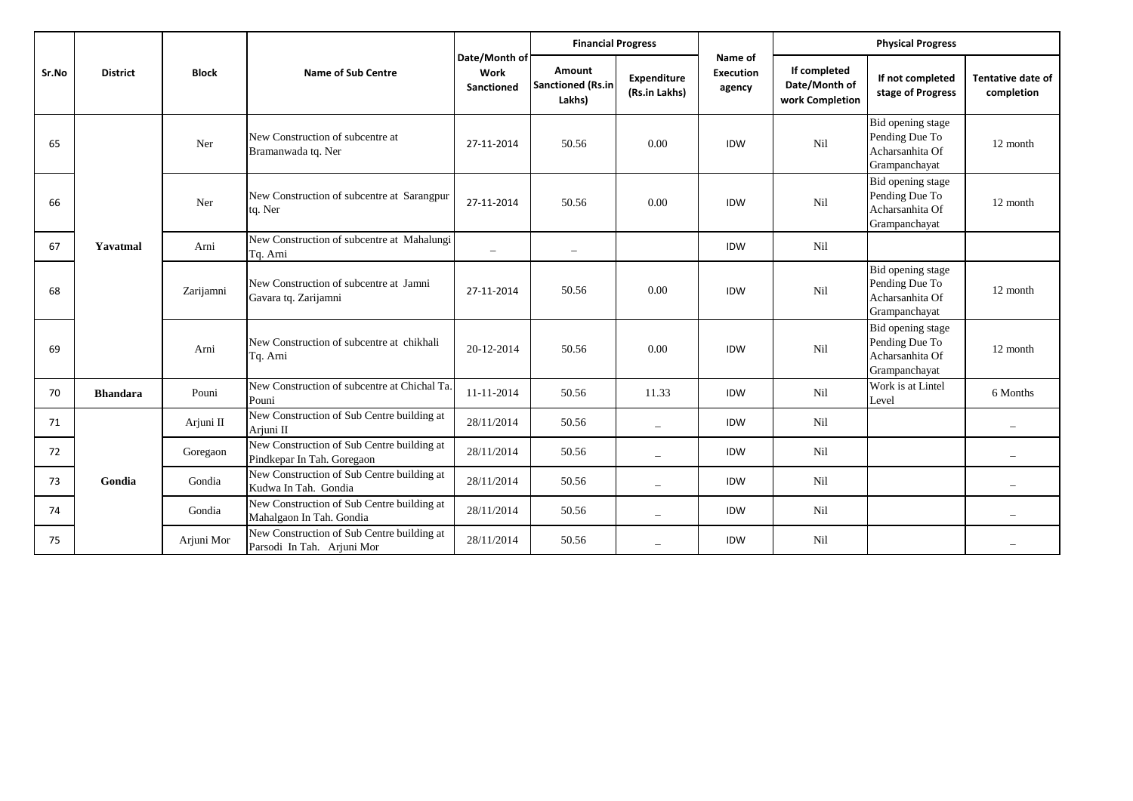| Sr.No |                 |              |                                                                          |                                            | <b>Financial Progress</b>                           |                              |                                       | <b>Physical Progress</b>                         |                                                                         |                                        |  |
|-------|-----------------|--------------|--------------------------------------------------------------------------|--------------------------------------------|-----------------------------------------------------|------------------------------|---------------------------------------|--------------------------------------------------|-------------------------------------------------------------------------|----------------------------------------|--|
|       | <b>District</b> | <b>Block</b> | <b>Name of Sub Centre</b>                                                | Date/Month of<br>Work<br><b>Sanctioned</b> | <b>Amount</b><br><b>Sanctioned (Rs.in</b><br>Lakhs) | Expenditure<br>(Rs.in Lakhs) | Name of<br><b>Execution</b><br>agency | If completed<br>Date/Month of<br>work Completion | If not completed<br>stage of Progress                                   | <b>Tentative date of</b><br>completion |  |
| 65    |                 | Ner          | New Construction of subcentre at<br>Bramanwada tq. Ner                   | 27-11-2014                                 | 50.56                                               | 0.00                         | <b>IDW</b>                            | Nil                                              | Bid opening stage<br>Pending Due To<br>Acharsanhita Of<br>Grampanchayat | 12 month                               |  |
| 66    |                 | Ner          | New Construction of subcentre at Sarangpur<br>tq. Ner                    | 27-11-2014                                 | 50.56                                               | 0.00                         | IDW                                   | Nil                                              | Bid opening stage<br>Pending Due To<br>Acharsanhita Of<br>Grampanchayat | 12 month                               |  |
| 67    | Yavatmal        | Arni         | New Construction of subcentre at Mahalungi<br>Tq. Arni                   | $\overline{\phantom{a}}$                   | $\overline{\phantom{m}}$                            |                              | IDW                                   | Nil                                              |                                                                         |                                        |  |
| 68    |                 | Zarijamni    | New Construction of subcentre at Jamni<br>Gavara tq. Zarijamni           | 27-11-2014                                 | 50.56                                               | 0.00                         | <b>IDW</b>                            | Nil                                              | Bid opening stage<br>Pending Due To<br>Acharsanhita Of<br>Grampanchayat | 12 month                               |  |
| 69    |                 | Arni         | New Construction of subcentre at chikhali<br>Tq. Arni                    | 20-12-2014                                 | 50.56                                               | 0.00                         | IDW                                   | Nil                                              | Bid opening stage<br>Pending Due To<br>Acharsanhita Of<br>Grampanchayat | 12 month                               |  |
| 70    | <b>Bhandara</b> | Pouni        | New Construction of subcentre at Chichal Ta.<br>Pouni                    | 11-11-2014                                 | 50.56                                               | 11.33                        | IDW                                   | Nil                                              | Work is at Lintel<br>Level                                              | 6 Months                               |  |
| 71    |                 | Arjuni II    | New Construction of Sub Centre building at<br>Ariuni II                  | 28/11/2014                                 | 50.56                                               | $\overline{\phantom{0}}$     | <b>IDW</b>                            | Nil                                              |                                                                         | $\overline{\phantom{0}}$               |  |
| 72    |                 | Goregaon     | New Construction of Sub Centre building at<br>Pindkepar In Tah. Goregaon | 28/11/2014                                 | 50.56                                               | $\overline{\phantom{0}}$     | <b>IDW</b>                            | Nil                                              |                                                                         | $\overline{\phantom{0}}$               |  |
| 73    | Gondia          | Gondia       | New Construction of Sub Centre building at<br>Kudwa In Tah. Gondia       | 28/11/2014                                 | 50.56                                               | $\equiv$                     | IDW                                   | Nil                                              |                                                                         | $\equiv$                               |  |
| 74    |                 | Gondia       | New Construction of Sub Centre building at<br>Mahalgaon In Tah. Gondia   | 28/11/2014                                 | 50.56                                               | $\overline{a}$               | <b>IDW</b>                            | Nil                                              |                                                                         |                                        |  |
| 75    |                 | Arjuni Mor   | New Construction of Sub Centre building at<br>Parsodi In Tah. Arjuni Mor | 28/11/2014                                 | 50.56                                               | $\overline{\phantom{0}}$     | <b>IDW</b>                            | Nil                                              |                                                                         |                                        |  |